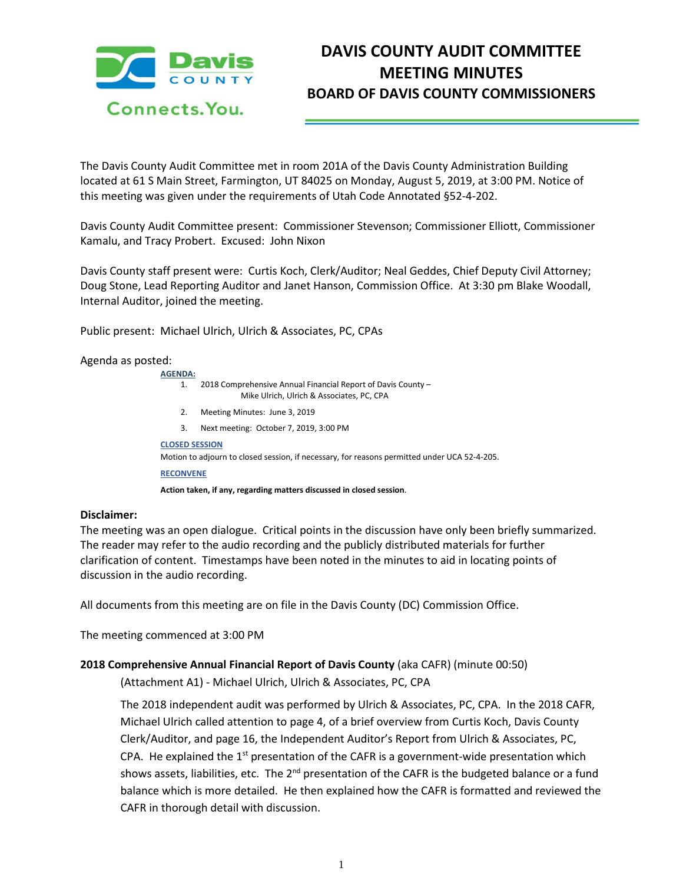

# **DAVIS COUNTY AUDIT COMMITTEE MEETING MINUTES BOARD OF DAVIS COUNTY COMMISSIONERS**

The Davis County Audit Committee met in room 201A of the Davis County Administration Building located at 61 S Main Street, Farmington, UT 84025 on Monday, August 5, 2019, at 3:00 PM. Notice of this meeting was given under the requirements of Utah Code Annotated §52-4-202.

Davis County Audit Committee present: Commissioner Stevenson; Commissioner Elliott, Commissioner Kamalu, and Tracy Probert. Excused: John Nixon

Davis County staff present were: Curtis Koch, Clerk/Auditor; Neal Geddes, Chief Deputy Civil Attorney; Doug Stone, Lead Reporting Auditor and Janet Hanson, Commission Office. At 3:30 pm Blake Woodall, Internal Auditor, joined the meeting.

Public present: Michael Ulrich, Ulrich & Associates, PC, CPAs

## Agenda as posted:

| <b>AGENDA:</b>                                                                               |                                                                                                           |
|----------------------------------------------------------------------------------------------|-----------------------------------------------------------------------------------------------------------|
| 1.                                                                                           | 2018 Comprehensive Annual Financial Report of Davis County -<br>Mike Ulrich, Ulrich & Associates, PC, CPA |
| 2.                                                                                           | Meeting Minutes: June 3, 2019                                                                             |
| 3.                                                                                           | Next meeting: October 7, 2019, 3:00 PM                                                                    |
| <b>CLOSED SESSION</b>                                                                        |                                                                                                           |
| Motion to adjourn to closed session, if necessary, for reasons permitted under UCA 52-4-205. |                                                                                                           |
| <b>RECONVENE</b>                                                                             |                                                                                                           |
| Action taken, if any, regarding matters discussed in closed session.                         |                                                                                                           |

## **Disclaimer:**

The meeting was an open dialogue. Critical points in the discussion have only been briefly summarized. The reader may refer to the audio recording and the publicly distributed materials for further clarification of content. Timestamps have been noted in the minutes to aid in locating points of discussion in the audio recording.

All documents from this meeting are on file in the Davis County (DC) Commission Office.

The meeting commenced at 3:00 PM

## **2018 Comprehensive Annual Financial Report of Davis County** (aka CAFR) (minute 00:50)

(Attachment A1) - Michael Ulrich, Ulrich & Associates, PC, CPA

The 2018 independent audit was performed by Ulrich & Associates, PC, CPA. In the 2018 CAFR, Michael Ulrich called attention to page 4, of a brief overview from Curtis Koch, Davis County Clerk/Auditor, and page 16, the Independent Auditor's Report from Ulrich & Associates, PC, CPA. He explained the  $1<sup>st</sup>$  presentation of the CAFR is a government-wide presentation which shows assets, liabilities, etc. The 2<sup>nd</sup> presentation of the CAFR is the budgeted balance or a fund balance which is more detailed. He then explained how the CAFR is formatted and reviewed the CAFR in thorough detail with discussion.